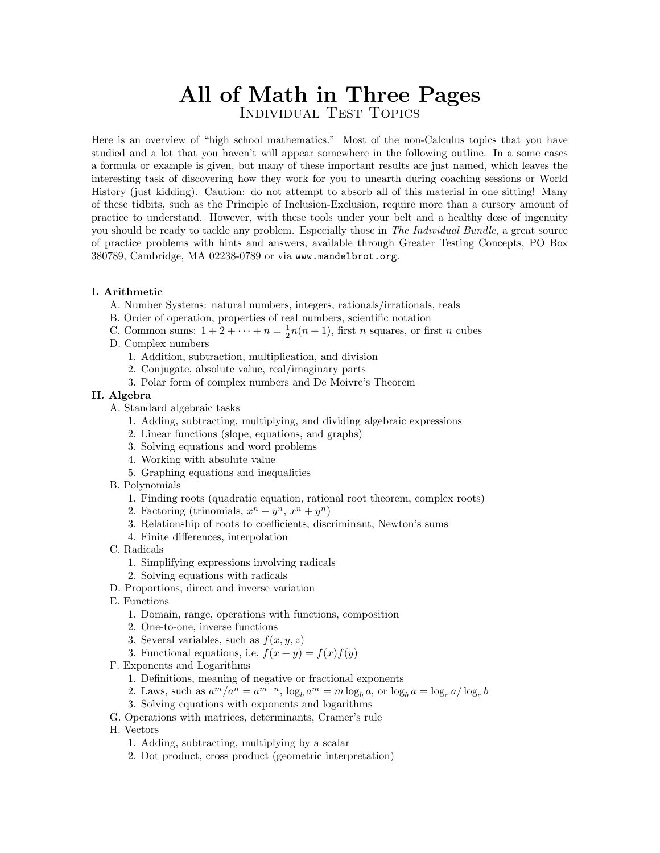# **All of Math in Three Pages** Individual Test Topics

Here is an overview of "high school mathematics." Most of the non-Calculus topics that you have studied and a lot that you haven't will appear somewhere in the following outline. In a some cases a formula or example is given, but many of these important results are just named, which leaves the interesting task of discovering how they work for you to unearth during coaching sessions or World History (just kidding). Caution: do not attempt to absorb all of this material in one sitting! Many of these tidbits, such as the Principle of Inclusion-Exclusion, require more than a cursory amount of practice to understand. However, with these tools under your belt and a healthy dose of ingenuity you should be ready to tackle any problem. Especially those in The Individual Bundle, a great source of practice problems with hints and answers, available through Greater Testing Concepts, PO Box 380789, Cambridge, MA 02238-0789 or via www.mandelbrot.org.

#### **I. Arithmetic**

- A. Number Systems: natural numbers, integers, rationals/irrationals, reals
- B. Order of operation, properties of real numbers, scientific notation
- C. Common sums:  $1 + 2 + \cdots + n = \frac{1}{2}n(n+1)$ , first *n* squares, or first *n* cubes
- D. Complex numbers
	- 1. Addition, subtraction, multiplication, and division
	- 2. Conjugate, absolute value, real/imaginary parts
	- 3. Polar form of complex numbers and De Moivre's Theorem

#### **II. Algebra**

- A. Standard algebraic tasks
	- 1. Adding, subtracting, multiplying, and dividing algebraic expressions
	- 2. Linear functions (slope, equations, and graphs)
	- 3. Solving equations and word problems
	- 4. Working with absolute value
	- 5. Graphing equations and inequalities
- B. Polynomials
	- 1. Finding roots (quadratic equation, rational root theorem, complex roots)
	- 2. Factoring (trinomials,  $x^n y^n$ ,  $x^n + y^n$ )
	- 3. Relationship of roots to coefficients, discriminant, Newton's sums
	- 4. Finite differences, interpolation
- C. Radicals
	- 1. Simplifying expressions involving radicals
	- 2. Solving equations with radicals
- D. Proportions, direct and inverse variation
- E. Functions
	- 1. Domain, range, operations with functions, composition
	- 2. One-to-one, inverse functions
	- 3. Several variables, such as  $f(x, y, z)$
	- 3. Functional equations, i.e.  $f(x+y) = f(x)f(y)$
- F. Exponents and Logarithms
	- 1. Definitions, meaning of negative or fractional exponents
	- 2. Laws, such as  $a^m/a^n = a^{m-n}$ ,  $\log_b a^m = m \log_b a$ , or  $\log_b a = \log_c a / \log_c b$
	- 3. Solving equations with exponents and logarithms
- G. Operations with matrices, determinants, Cramer's rule
- H. Vectors
	- 1. Adding, subtracting, multiplying by a scalar
	- 2. Dot product, cross product (geometric interpretation)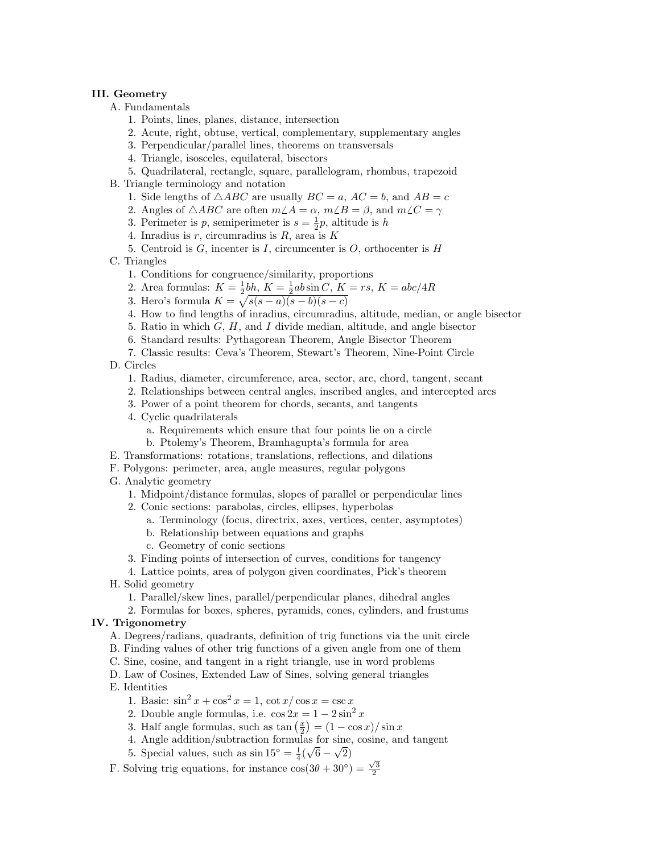#### **III. Geometry**

- A. Fundamentals
	- 1. Points, lines, planes, distance, intersection
	- 2. Acute, right, obtuse, vertical, complementary, supplementary angles
	- 3. Perpendicular/parallel lines, theorems on transversals
	- 4. Triangle, isosceles, equilateral, bisectors
	- 5. Quadrilateral, rectangle, square, parallelogram, rhombus, trapezoid
- B. Triangle terminology and notation
	- 1. Side lengths of  $\triangle ABC$  are usually  $BC = a$ ,  $AC = b$ , and  $AB = c$
	- 2. Angles of  $\triangle ABC$  are often  $m\angle A = \alpha$ ,  $m\angle B = \beta$ , and  $m\angle C = \gamma$
	- 3. Perimeter is *p*, semiperimeter is  $s = \frac{1}{2}p$ , altitude is *h*
	- 4. Inradius is *r*, circumradius is *R*, area is *K*
	- 5. Centroid is *G*, incenter is *I*, circumcenter is *O*, orthocenter is *H*
- C. Triangles
	- 1. Conditions for congruence/similarity, proportions
	- 2. Area formulas:  $K = \frac{1}{2}bh$ ,  $K = \frac{1}{2}ab\sin C$ ,  $K = rs$ ,  $K = abc/4R$
	- 3. Hero's formula  $K = \sqrt{s(s-a)(s-b)(s-c)}$
	- 4. How to find lengths of inradius, circumradius, altitude, median, or angle bisector
	- 5. Ratio in which *G*, *H*, and *I* divide median, altitude, and angle bisector
	- 6. Standard results: Pythagorean Theorem, Angle Bisector Theorem
	- 7. Classic results: Ceva's Theorem, Stewart's Theorem, Nine-Point Circle

D. Circles

- 1. Radius, diameter, circumference, area, sector, arc, chord, tangent, secant
- 2. Relationships between central angles, inscribed angles, and intercepted arcs
- 3. Power of a point theorem for chords, secants, and tangents
- 4. Cyclic quadrilaterals
	- a. Requirements which ensure that four points lie on a circle
	- b. Ptolemy's Theorem, Bramhagupta's formula for area
- E. Transformations: rotations, translations, reflections, and dilations
- F. Polygons: perimeter, area, angle measures, regular polygons
- G. Analytic geometry
	- 1. Midpoint/distance formulas, slopes of parallel or perpendicular lines
	- 2. Conic sections: parabolas, circles, ellipses, hyperbolas
		- a. Terminology (focus, directrix, axes, vertices, center, asymptotes)
		- b. Relationship between equations and graphs
		- c. Geometry of conic sections
	- 3. Finding points of intersection of curves, conditions for tangency

4. Lattice points, area of polygon given coordinates, Pick's theorem

- H. Solid geometry
	- 1. Parallel/skew lines, parallel/perpendicular planes, dihedral angles
	- 2. Formulas for boxes, spheres, pyramids, cones, cylinders, and frustums

#### **IV. Trigonometry**

- A. Degrees/radians, quadrants, definition of trig functions via the unit circle
- B. Finding values of other trig functions of a given angle from one of them
- C. Sine, cosine, and tangent in a right triangle, use in word problems
- D. Law of Cosines, Extended Law of Sines, solving general triangles
- E. Identities

1. Basic:  $\sin^2 x + \cos^2 x = 1$ ,  $\cot x / \cos x = \csc x$ 

- 2. Double angle formulas, i.e.  $\cos 2x = 1 2\sin^2 x$
- 3. Half angle formulas, such as  $\tan\left(\frac{x}{2}\right) = \left(1 \cos x\right) / \sin x$
- 4. Angle addition/subtraction formulas for sine, cosine, and tangent
- 5. Special values, such as  $\sin 15^\circ = \frac{1}{4}(\sqrt{6} \sqrt{2})$
- F. Solving trig equations, for instance  $\cos(3\theta + 30^\circ) = \frac{\sqrt{3}}{2}$